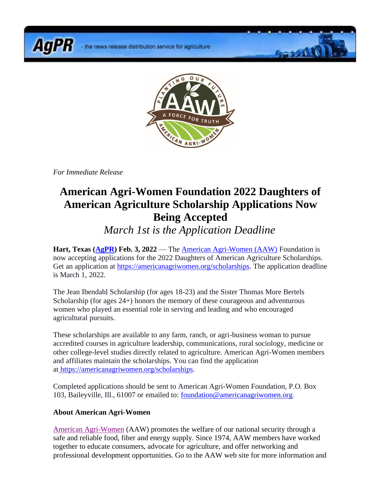- the news release distribution service for agriculture



 $9 - 190$ 

*For Immediate Release*

**AgPR** 

## **American Agri-Women Foundation 2022 Daughters of American Agriculture Scholarship Applications Now Being Accepted**

*March 1st is the Application Deadline*

**Hart, Texas [\(AgPR\)](http://www.agnewscenter.com/trk/process.cfm?track=5423&tc=2&codex=x1) Feb. 3, 2022** — The [American Agri-Women \(AAW\)](http://www.agnewscenter.com/trk/process.cfm?track=4646&tc=2&codex=x1) Foundation is now accepting applications for the 2022 Daughters of American Agriculture Scholarships. Get an application at [https://americanagriwomen.org/scholarships.](http://www.agnewscenter.com/trk/process.cfm?track=5493&tc=2&codex=x1) The application deadline is March 1, 2022.

The Jean Ibendahl Scholarship (for ages 18-23) and the Sister Thomas More Bertels Scholarship (for ages 24+) honors the memory of these courageous and adventurous women who played an essential role in serving and leading and who encouraged agricultural pursuits.

These scholarships are available to any farm, ranch, or agri-business woman to pursue accredited courses in agriculture leadership, communications, rural sociology, medicine or other college-level studies directly related to agriculture. American Agri-Women members and affiliates maintain the scholarships. You can find the application at [https://americanagriwomen.org/scholarships.](http://www.agnewscenter.com/trk/process.cfm?track=5493&tc=2&codex=x1)

Completed applications should be sent to American Agri-Women Foundation, P.O. Box 103, Baileyville, Ill., 61007 or emailed to: [foundation@americanagriwomen.org.](mailto:foundation@americanagriwomen.org)

## **About American Agri-Women**

[American Agri-Women](http://www.agnewscenter.com/trk/process.cfm?track=4646&tc=2&codex=x1) (AAW) promotes the welfare of our national security through a safe and reliable food, fiber and energy supply. Since 1974, AAW members have worked together to educate consumers, advocate for agriculture, and offer networking and professional development opportunities. Go to the AAW web site for more information and